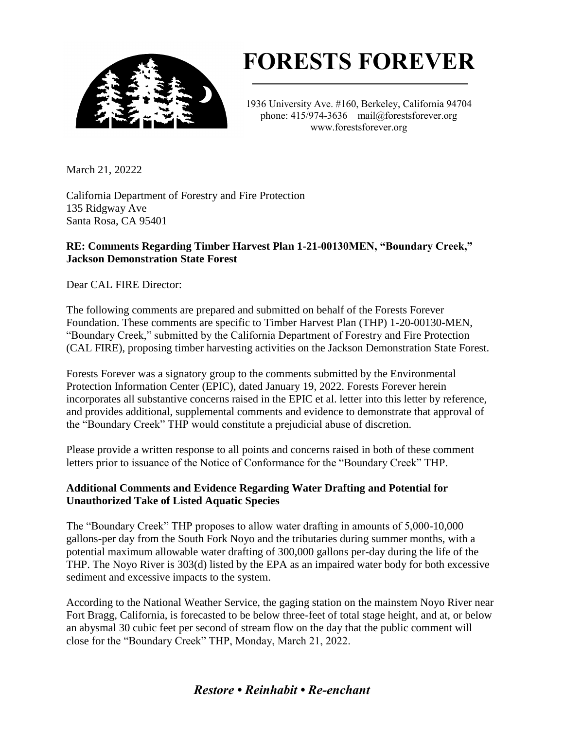

# **FORESTS FOREVER**

1936 University Ave. #160, Berkeley, California 94704 phone: 415/974-3636 mail@forestsforever.org www.forestsforever.org

March 21, 20222

California Department of Forestry and Fire Protection 135 Ridgway Ave Santa Rosa, CA 95401

## **RE: Comments Regarding Timber Harvest Plan 1-21-00130MEN, "Boundary Creek," Jackson Demonstration State Forest**

Dear CAL FIRE Director:

The following comments are prepared and submitted on behalf of the Forests Forever Foundation. These comments are specific to Timber Harvest Plan (THP) 1-20-00130-MEN, "Boundary Creek," submitted by the California Department of Forestry and Fire Protection (CAL FIRE), proposing timber harvesting activities on the Jackson Demonstration State Forest.

Forests Forever was a signatory group to the comments submitted by the Environmental Protection Information Center (EPIC), dated January 19, 2022. Forests Forever herein incorporates all substantive concerns raised in the EPIC et al. letter into this letter by reference, and provides additional, supplemental comments and evidence to demonstrate that approval of the "Boundary Creek" THP would constitute a prejudicial abuse of discretion.

Please provide a written response to all points and concerns raised in both of these comment letters prior to issuance of the Notice of Conformance for the "Boundary Creek" THP.

# **Additional Comments and Evidence Regarding Water Drafting and Potential for Unauthorized Take of Listed Aquatic Species**

The "Boundary Creek" THP proposes to allow water drafting in amounts of 5,000-10,000 gallons-per day from the South Fork Noyo and the tributaries during summer months, with a potential maximum allowable water drafting of 300,000 gallons per-day during the life of the THP. The Noyo River is 303(d) listed by the EPA as an impaired water body for both excessive sediment and excessive impacts to the system.

According to the National Weather Service, the gaging station on the mainstem Noyo River near Fort Bragg, California, is forecasted to be below three-feet of total stage height, and at, or below an abysmal 30 cubic feet per second of stream flow on the day that the public comment will close for the "Boundary Creek" THP, Monday, March 21, 2022.

# *Restore • Reinhabit • Re-enchant*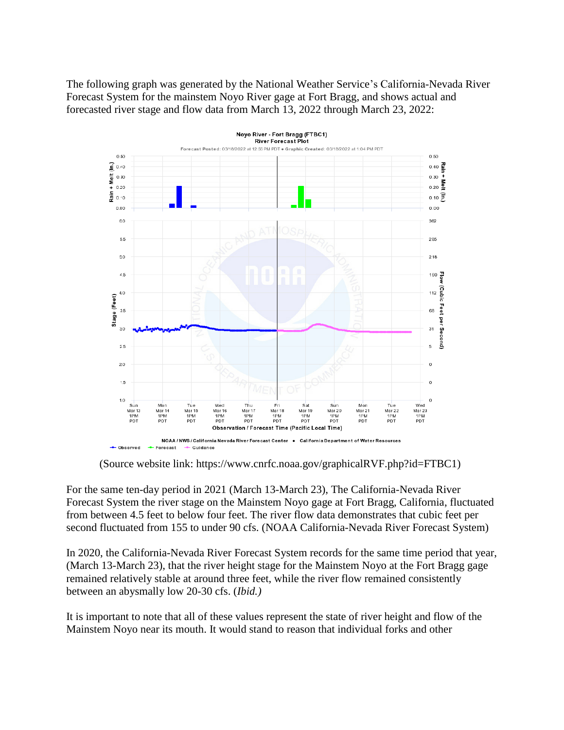The following graph was generated by the National Weather Service's California-Nevada River Forecast System for the mainstem Noyo River gage at Fort Bragg, and shows actual and forecasted river stage and flow data from March 13, 2022 through March 23, 2022:



(Source website link: https://www.cnrfc.noaa.gov/graphicalRVF.php?id=FTBC1)

For the same ten-day period in 2021 (March 13-March 23), The California-Nevada River Forecast System the river stage on the Mainstem Noyo gage at Fort Bragg, California, fluctuated from between 4.5 feet to below four feet. The river flow data demonstrates that cubic feet per second fluctuated from 155 to under 90 cfs. (NOAA California-Nevada River Forecast System)

In 2020, the California-Nevada River Forecast System records for the same time period that year, (March 13-March 23), that the river height stage for the Mainstem Noyo at the Fort Bragg gage remained relatively stable at around three feet, while the river flow remained consistently between an abysmally low 20-30 cfs. (*Ibid.)*

It is important to note that all of these values represent the state of river height and flow of the Mainstem Noyo near its mouth. It would stand to reason that individual forks and other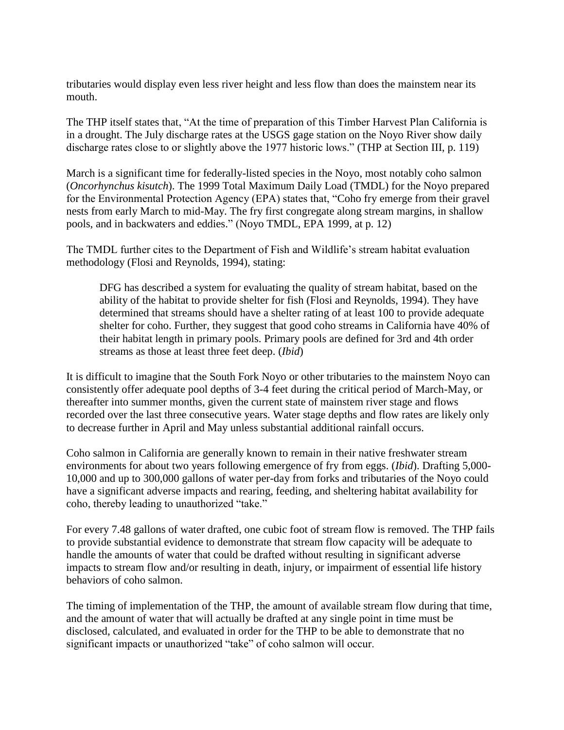tributaries would display even less river height and less flow than does the mainstem near its mouth.

The THP itself states that, "At the time of preparation of this Timber Harvest Plan California is in a drought. The July discharge rates at the USGS gage station on the Noyo River show daily discharge rates close to or slightly above the 1977 historic lows." (THP at Section III, p. 119)

March is a significant time for federally-listed species in the Noyo, most notably coho salmon (*Oncorhynchus kisutch*). The 1999 Total Maximum Daily Load (TMDL) for the Noyo prepared for the Environmental Protection Agency (EPA) states that, "Coho fry emerge from their gravel nests from early March to mid-May. The fry first congregate along stream margins, in shallow pools, and in backwaters and eddies." (Noyo TMDL, EPA 1999, at p. 12)

The TMDL further cites to the Department of Fish and Wildlife's stream habitat evaluation methodology (Flosi and Reynolds, 1994), stating:

DFG has described a system for evaluating the quality of stream habitat, based on the ability of the habitat to provide shelter for fish (Flosi and Reynolds, 1994). They have determined that streams should have a shelter rating of at least 100 to provide adequate shelter for coho. Further, they suggest that good coho streams in California have 40% of their habitat length in primary pools. Primary pools are defined for 3rd and 4th order streams as those at least three feet deep. (*Ibid*)

It is difficult to imagine that the South Fork Noyo or other tributaries to the mainstem Noyo can consistently offer adequate pool depths of 3-4 feet during the critical period of March-May, or thereafter into summer months, given the current state of mainstem river stage and flows recorded over the last three consecutive years. Water stage depths and flow rates are likely only to decrease further in April and May unless substantial additional rainfall occurs.

Coho salmon in California are generally known to remain in their native freshwater stream environments for about two years following emergence of fry from eggs. (*Ibid*). Drafting 5,000- 10,000 and up to 300,000 gallons of water per-day from forks and tributaries of the Noyo could have a significant adverse impacts and rearing, feeding, and sheltering habitat availability for coho, thereby leading to unauthorized "take."

For every 7.48 gallons of water drafted, one cubic foot of stream flow is removed. The THP fails to provide substantial evidence to demonstrate that stream flow capacity will be adequate to handle the amounts of water that could be drafted without resulting in significant adverse impacts to stream flow and/or resulting in death, injury, or impairment of essential life history behaviors of coho salmon.

The timing of implementation of the THP, the amount of available stream flow during that time, and the amount of water that will actually be drafted at any single point in time must be disclosed, calculated, and evaluated in order for the THP to be able to demonstrate that no significant impacts or unauthorized "take" of coho salmon will occur.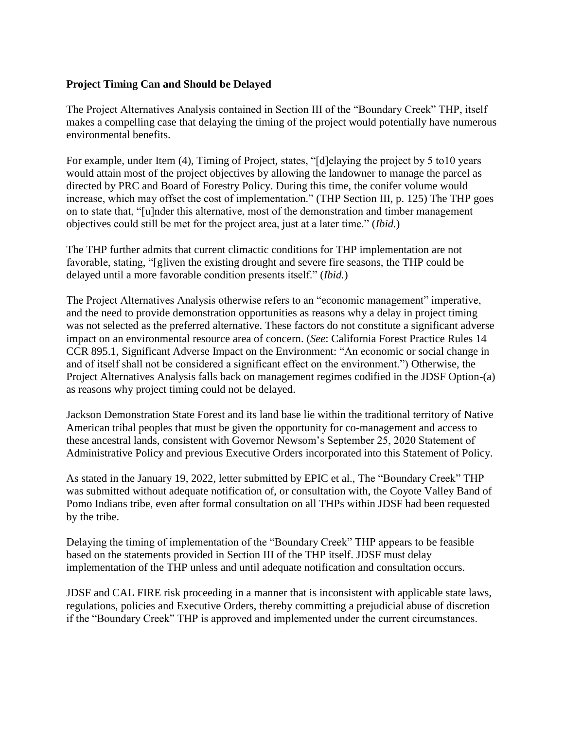## **Project Timing Can and Should be Delayed**

The Project Alternatives Analysis contained in Section III of the "Boundary Creek" THP, itself makes a compelling case that delaying the timing of the project would potentially have numerous environmental benefits.

For example, under Item (4), Timing of Project, states, "[d]elaying the project by 5 to10 years would attain most of the project objectives by allowing the landowner to manage the parcel as directed by PRC and Board of Forestry Policy. During this time, the conifer volume would increase, which may offset the cost of implementation." (THP Section III, p. 125) The THP goes on to state that, "[u]nder this alternative, most of the demonstration and timber management objectives could still be met for the project area, just at a later time." (*Ibid.*)

The THP further admits that current climactic conditions for THP implementation are not favorable, stating, "[g]iven the existing drought and severe fire seasons, the THP could be delayed until a more favorable condition presents itself." (*Ibid.*)

The Project Alternatives Analysis otherwise refers to an "economic management" imperative, and the need to provide demonstration opportunities as reasons why a delay in project timing was not selected as the preferred alternative. These factors do not constitute a significant adverse impact on an environmental resource area of concern. (*See*: California Forest Practice Rules 14 CCR 895.1, Significant Adverse Impact on the Environment: "An economic or social change in and of itself shall not be considered a significant effect on the environment.") Otherwise, the Project Alternatives Analysis falls back on management regimes codified in the JDSF Option-(a) as reasons why project timing could not be delayed.

Jackson Demonstration State Forest and its land base lie within the traditional territory of Native American tribal peoples that must be given the opportunity for co-management and access to these ancestral lands, consistent with Governor Newsom's September 25, 2020 Statement of Administrative Policy and previous Executive Orders incorporated into this Statement of Policy.

As stated in the January 19, 2022, letter submitted by EPIC et al., The "Boundary Creek" THP was submitted without adequate notification of, or consultation with, the Coyote Valley Band of Pomo Indians tribe, even after formal consultation on all THPs within JDSF had been requested by the tribe.

Delaying the timing of implementation of the "Boundary Creek" THP appears to be feasible based on the statements provided in Section III of the THP itself. JDSF must delay implementation of the THP unless and until adequate notification and consultation occurs.

JDSF and CAL FIRE risk proceeding in a manner that is inconsistent with applicable state laws, regulations, policies and Executive Orders, thereby committing a prejudicial abuse of discretion if the "Boundary Creek" THP is approved and implemented under the current circumstances.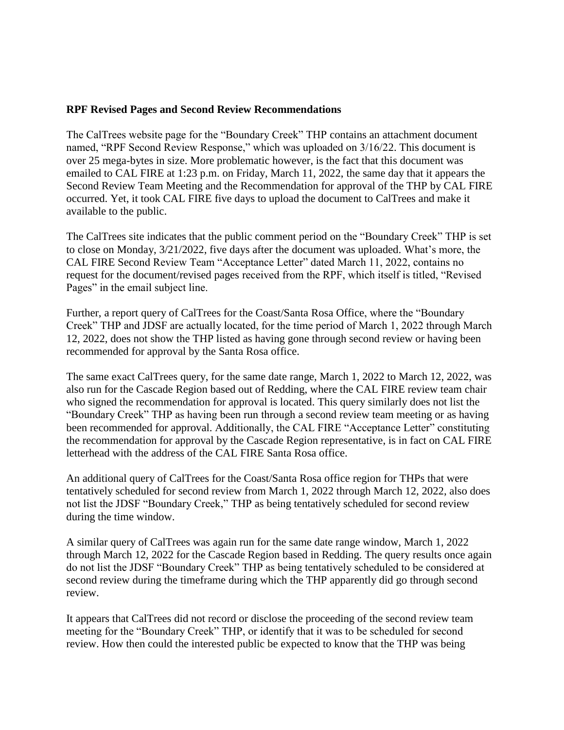### **RPF Revised Pages and Second Review Recommendations**

The CalTrees website page for the "Boundary Creek" THP contains an attachment document named, "RPF Second Review Response," which was uploaded on 3/16/22. This document is over 25 mega-bytes in size. More problematic however, is the fact that this document was emailed to CAL FIRE at 1:23 p.m. on Friday, March 11, 2022, the same day that it appears the Second Review Team Meeting and the Recommendation for approval of the THP by CAL FIRE occurred. Yet, it took CAL FIRE five days to upload the document to CalTrees and make it available to the public.

The CalTrees site indicates that the public comment period on the "Boundary Creek" THP is set to close on Monday, 3/21/2022, five days after the document was uploaded. What's more, the CAL FIRE Second Review Team "Acceptance Letter" dated March 11, 2022, contains no request for the document/revised pages received from the RPF, which itself is titled, "Revised Pages" in the email subject line.

Further, a report query of CalTrees for the Coast/Santa Rosa Office, where the "Boundary Creek" THP and JDSF are actually located, for the time period of March 1, 2022 through March 12, 2022, does not show the THP listed as having gone through second review or having been recommended for approval by the Santa Rosa office.

The same exact CalTrees query, for the same date range, March 1, 2022 to March 12, 2022, was also run for the Cascade Region based out of Redding, where the CAL FIRE review team chair who signed the recommendation for approval is located. This query similarly does not list the "Boundary Creek" THP as having been run through a second review team meeting or as having been recommended for approval. Additionally, the CAL FIRE "Acceptance Letter" constituting the recommendation for approval by the Cascade Region representative, is in fact on CAL FIRE letterhead with the address of the CAL FIRE Santa Rosa office.

An additional query of CalTrees for the Coast/Santa Rosa office region for THPs that were tentatively scheduled for second review from March 1, 2022 through March 12, 2022, also does not list the JDSF "Boundary Creek," THP as being tentatively scheduled for second review during the time window.

A similar query of CalTrees was again run for the same date range window, March 1, 2022 through March 12, 2022 for the Cascade Region based in Redding. The query results once again do not list the JDSF "Boundary Creek" THP as being tentatively scheduled to be considered at second review during the timeframe during which the THP apparently did go through second review.

It appears that CalTrees did not record or disclose the proceeding of the second review team meeting for the "Boundary Creek" THP, or identify that it was to be scheduled for second review. How then could the interested public be expected to know that the THP was being